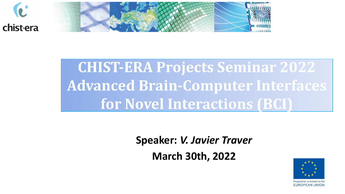



# **CHIST-ERA Projects Seminar 2022 Advanced Brain-Computer Interfaces for Novel Interactions (BCI)**

**Speaker:** *V. Javier Traver* 

**March 30th, 2022**

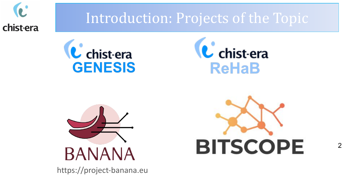

### Introduction: Projects of the Topic







https://project-banana.eu

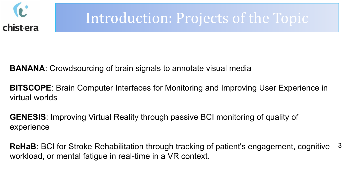

### Introduction: Projects of the Topic

**BANANA**: Crowdsourcing of brain signals to annotate visual media

**BITSCOPE**: Brain Computer Interfaces for Monitoring and Improving User Experience in virtual worlds

**GENESIS**: Improving Virtual Reality through passive BCI monitoring of quality of experience

3 **ReHaB**: BCI for Stroke Rehabilitation through tracking of patient's engagement, cognitive workload, or mental fatigue in real-time in a VR context.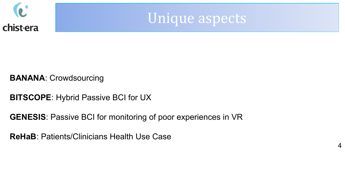



#### **BANANA**: Crowdsourcing

- **BITSCOPE**: Hybrid Passive BCI for UX
- **GENESIS**: Passive BCI for monitoring of poor experiences in VR
- **ReHaB**: Patients/Clinicians Health Use Case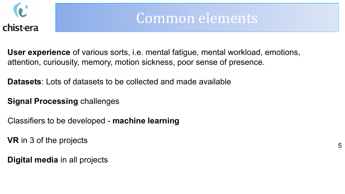

### Common elements

**User experience** of various sorts, i.e. mental fatigue, mental workload, emotions, attention, curiousity, memory, motion sickness, poor sense of presence.

**Datasets**: Lots of datasets to be collected and made available

#### **Signal Processing** challenges

Classifiers to be developed - **machine learning**

**VR** in 3 of the projects

**Digital media** in all projects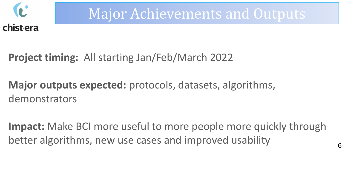

### Major Achievements and Outputs

**Project timing:** All starting Jan/Feb/March 2022

**Major outputs expected:** protocols, datasets, algorithms, demonstrators

**Impact:** Make BCI more useful to more people more quickly through better algorithms, new use cases and improved usability 6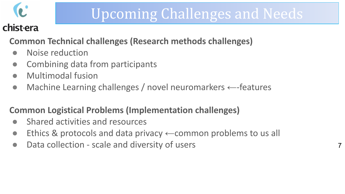

## Upcoming Challenges and Needs

#### chist-era

#### **Common Technical challenges (Research methods challenges)**

- Noise reduction
- Combining data from participants
- Multimodal fusion
- Machine Learning challenges / novel neuromarkers ←-features

#### **Common Logistical Problems (Implementation challenges)**

- Shared activities and resources
- Ethics & protocols and data privacy  $\leftarrow$  common problems to us all
- Data collection scale and diversity of users 7 and 7 and 7 and 7 and 7 and 7 and 7 and 7 and 7 and 7 and 7 and 7 and 7 and 7 and 7 and 7 and 7 and 7 and 7 and 7 and 7 and 7 and 7 and 7 and 7 and 7 and 7 and 7 and 7 and 7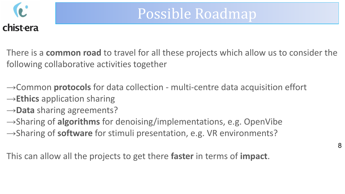

There is a **common road** to travel for all these projects which allow us to consider the following collaborative activities together

→Common **protocols** for data collection - multi-centre data acquisition effort

→**Ethics** application sharing

→**Data** sharing agreements?

→Sharing of **algorithms** for denoising/implementations, e.g. OpenVibe →Sharing of **software** for stimuli presentation, e.g. VR environments?

This can allow all the projects to get there **faster** in terms of **impact**.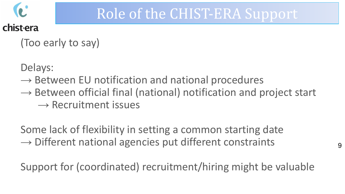

### Role of the CHIST-ERA Support

(Too early to say)

Delays:

- $\rightarrow$  Between EU notification and national procedures
- $\rightarrow$  Between official final (national) notification and project start  $\rightarrow$  Recruitment issues

Some lack of flexibility in setting a common starting date  $\rightarrow$  Different national agencies put different constraints

Support for (coordinated) recruitment/hiring might be valuable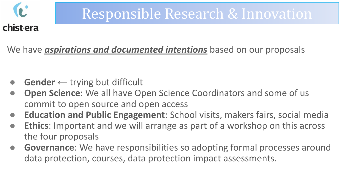

### Responsible Research & Innovation

We have *aspirations and documented intentions* based on our proposals

- **Gender**  $\leftarrow$  trying but difficult
- **Open Science**: We all have Open Science Coordinators and some of us commit to open source and open access
- **Education and Public Engagement**: School visits, makers fairs, social media
- **Ethics**: Important and we will arrange as part of a workshop on this across the four proposals
- **Governance**: We have responsibilities so adopting formal processes around data protection, courses, data protection impact assessments.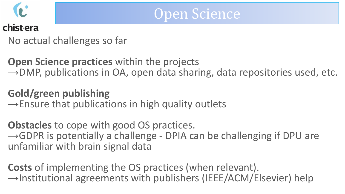

### No actual challenges so far

**Open Science practices** within the projects  $\rightarrow$ DMP, publications in OA, open data sharing, data repositories used, etc.

### **Gold/green publishing**

 $\rightarrow$ Ensure that publications in high quality outlets

**Obstacles** to cope with good OS practices.  $\rightarrow$ GDPR is potentially a challenge - DPIA can be challenging if DPU are unfamiliar with brain signal data

**Costs** of implementing the OS practices (when relevant).  $\rightarrow$ Institutional agreements with publishers (IEEE/ACM/Elsevier) help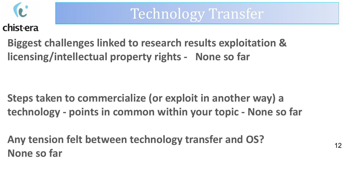

chist-era

**Biggest challenges linked to research results exploitation & licensing/intellectual property rights - None so far**

**Steps taken to commercialize (or exploit in another way) a technology - points in common within your topic - None so far**

**Any tension felt between technology transfer and OS? None so far**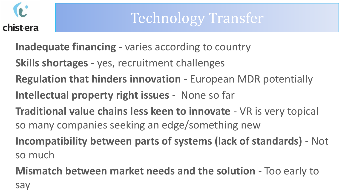

- **Inadequate financing**  varies according to country
- **Skills shortages**  yes, recruitment challenges
- **Regulation that hinders innovation**  European MDR potentially
- **Intellectual property right issues** None so far
- **Traditional value chains less keen to innovate**  VR is very topical so many companies seeking an edge/something new
- **Incompatibility between parts of systems (lack of standards)**  Not so much
- **Mismatch between market needs and the solution**  Too early to